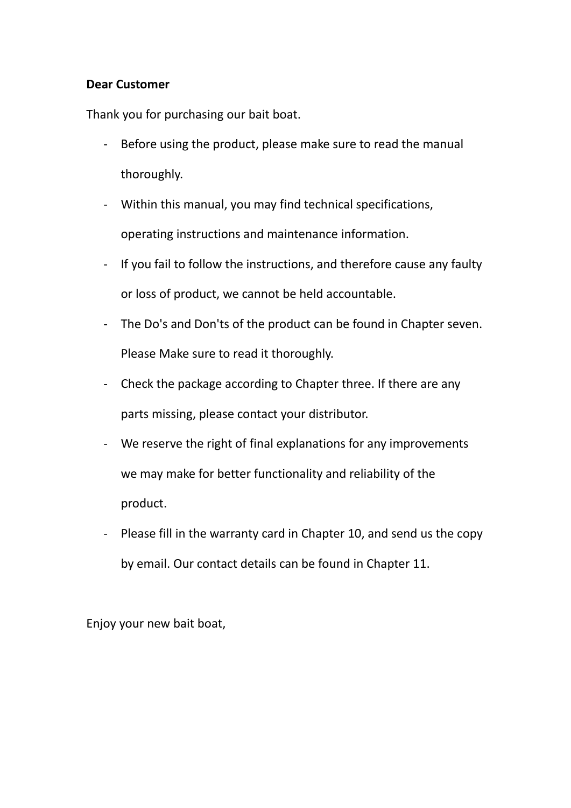#### **Dear Customer**

Thank you for purchasing our bait boat.

- Before using the product, please make sure to read the manual thoroughly.
- Within this manual, you may find technical specifications, operating instructions and maintenance information.
- If you fail to follow the instructions, and therefore cause any faulty or loss of product, we cannot be held accountable.
- [The Do's and Don'ts](http://dict.youdao.com/w/eng/the_do) of the product can be found in Chapter seven. Please Make sure to read it thoroughly.
- Check the package according to Chapter three. If there are any parts missing, please contact your distributor.
- We reserve the right of final explanations for any improvements we may make for better functionality and reliability of the product.
- Please fill in the warranty card in Chapter 10, and send us the copy by email. Our contact details can be found in Chapter 11.

Enjoy your new bait boat,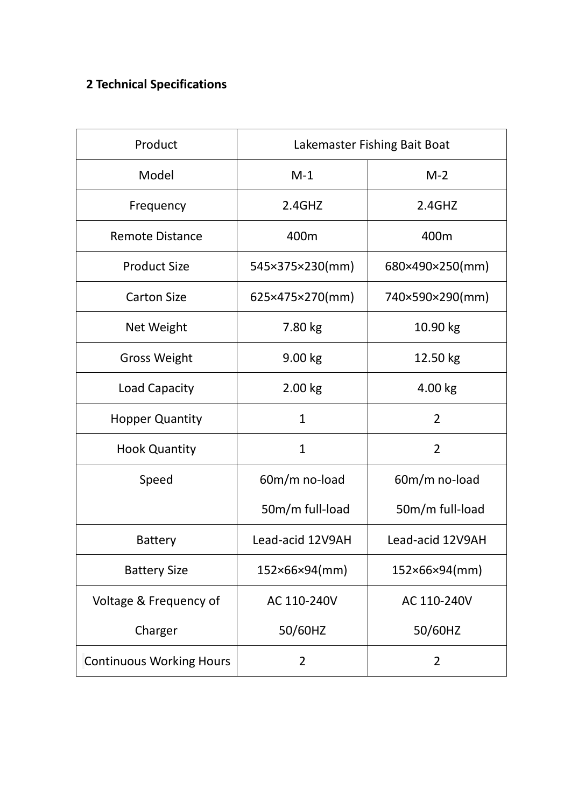# **2 Technical Specifications**

| Product                         | Lakemaster Fishing Bait Boat |                  |  |
|---------------------------------|------------------------------|------------------|--|
| Model                           | $M-1$                        | $M-2$            |  |
| Frequency                       | 2.4GHz                       | 2.4GHz           |  |
| <b>Remote Distance</b>          | 400m                         | 400m             |  |
| <b>Product Size</b>             | 545×375×230(mm)              | 680×490×250(mm)  |  |
| <b>Carton Size</b>              | 625×475×270(mm)              | 740×590×290(mm)  |  |
| Net Weight                      | 7.80 kg                      | 10.90 kg         |  |
| <b>Gross Weight</b>             | 9.00 kg                      | 12.50 kg         |  |
| Load Capacity                   | 2.00 kg                      | 4.00 kg          |  |
| <b>Hopper Quantity</b>          | $\mathbf{1}$                 | $\overline{2}$   |  |
| <b>Hook Quantity</b>            | 1                            | 2                |  |
| Speed                           | 60m/m no-load                | 60m/m no-load    |  |
|                                 | 50m/m full-load              | 50m/m full-load  |  |
| <b>Battery</b>                  | Lead-acid 12V9AH             | Lead-acid 12V9AH |  |
| <b>Battery Size</b>             | 152×66×94(mm)                | 152×66×94(mm)    |  |
| Voltage & Frequency of          | AC 110-240V                  | AC 110-240V      |  |
| Charger                         | 50/60HZ                      | 50/60HZ          |  |
| <b>Continuous Working Hours</b> | 2                            | 2                |  |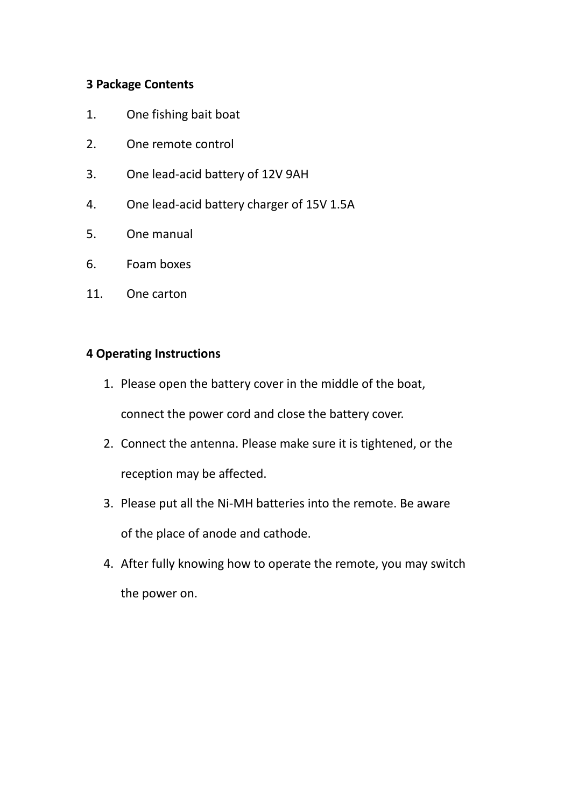#### **3 Package Contents**

- 1. One fishing bait boat
- 2. One remote control
- 3. One lead-acid battery of 12V 9AH
- 4. One lead-acid battery charger of 15V 1.5A
- 5. One manual
- 6. Foam boxes
- 11. One carton

#### **4 Operating Instructions**

1. Please open the battery cover in the middle of the boat,

connect the power cord and close the battery cover.

- 2. Connect the antenna. Please make sure it is tightened, or the reception may be affected.
- 3. Please put all the Ni-MH batteries into the remote. Be aware of the place of anode and cathode.
- 4. After fully knowing how to operate the remote, you may switch the power on.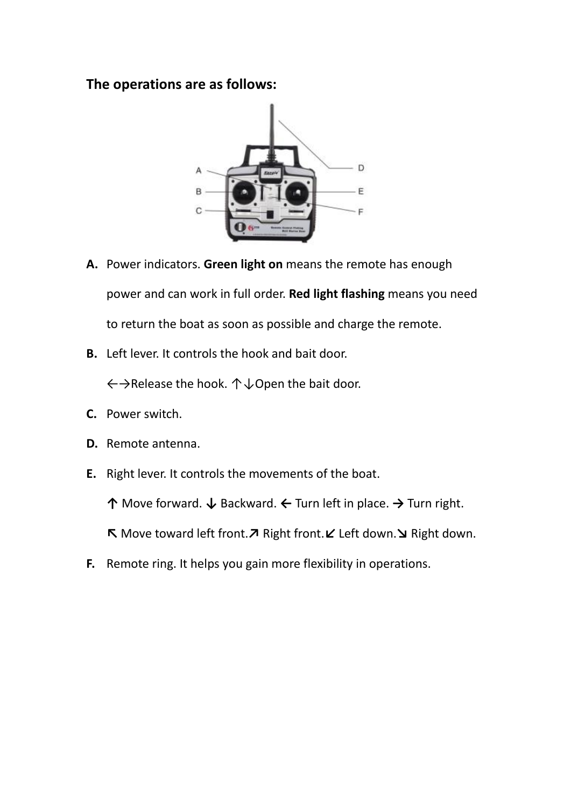#### **The operations are as follows:**



- **A.** Power indicators. **Green light on** means the remote has enough power and can work in full order. **Red light flashing** means you need to return the boat as soon as possible and charge the remote.
- **B.** Left lever. It controls the hook and bait door.

←→Release the hook. ↑↓Open the bait door.

- **C.** Power switch.
- **D.** Remote antenna.
- **E.** Right lever. It controls the movements of the boat.

**↑** Move forward. **↓** Backward. **←** Turn left in place. **→** Turn right.

**↖** Move toward left front.**↗** Right front.**↙** Left down.**↘** Right down.

**F.** Remote ring. It helps you gain more flexibility in operations.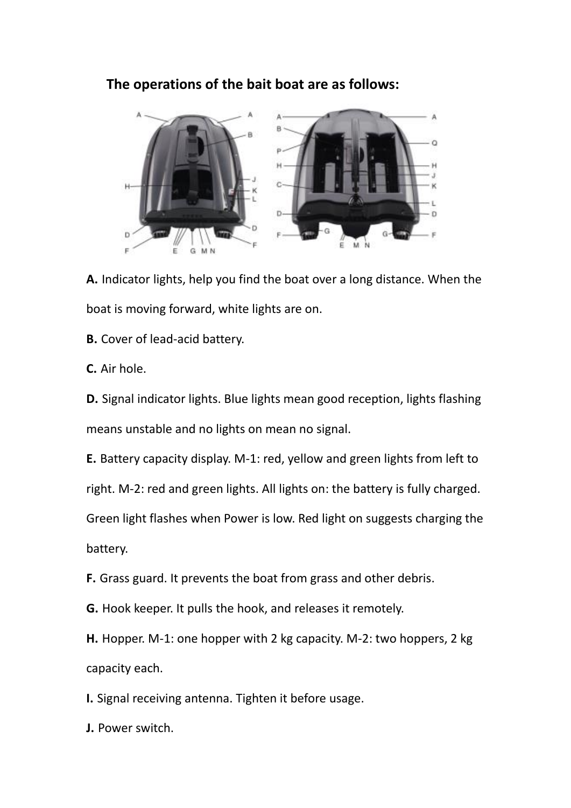#### **The operations of the bait boat are as follows:**



**A.** Indicator lights, help you find the boat over a long distance. When the boat is moving forward, white lights are on.

**B.** Cover of lead-acid battery.

**C.** Air hole.

**D.** Signal indicator lights. Blue lights mean good reception, lights flashing means unstable and no lights on mean no signal.

**E.** Battery capacity display. M-1: red, yellow and green lights from left to

right. M-2: red and green lights. All lights on: the battery is fully charged.

Green light flashes when Power is low. Red light on suggests charging the battery.

**F.** Grass guard. It prevents the boat from grass and other debris.

**G.** Hook keeper. It pulls the hook, and releases it remotely.

**H.** Hopper. M-1: one hopper with 2 kg capacity. M-2: two hoppers, 2 kg capacity each.

**I.** Signal receiving antenna. Tighten it before usage.

**J.** Power switch.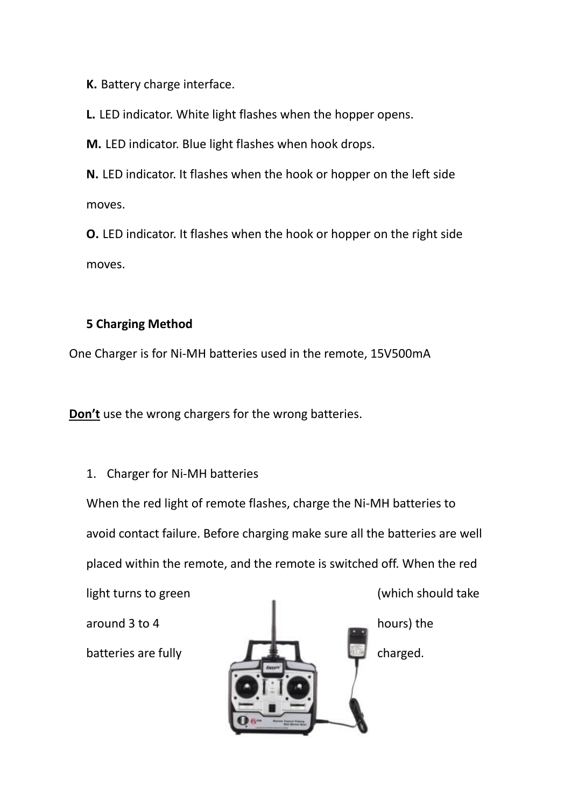**K.** Battery charge interface.

**L.** LED indicator. White light flashes when the hopper opens.

**M.** LED indicator. Blue light flashes when hook drops.

**N.** LED indicator. It flashes when the hook or hopper on the left side moves.

**O.** LED indicator. It flashes when the hook or hopper on the right side moves.

#### **5 Charging Method**

One Charger is for Ni-MH batteries used in the remote, 15V500mA

**Don't** use the wrong chargers for the wrong batteries.

#### 1. Charger for Ni-MH batteries

When the red light of remote flashes, charge the Ni-MH batteries to avoid contact failure. Before charging make sure all the batteries are well placed within the remote, and the remote is switched off. When the red

light turns to green (which should take around 3 to 4 hours) the batteries are fully  $\mathbb{R}$  and  $\mathbb{R}$  charged.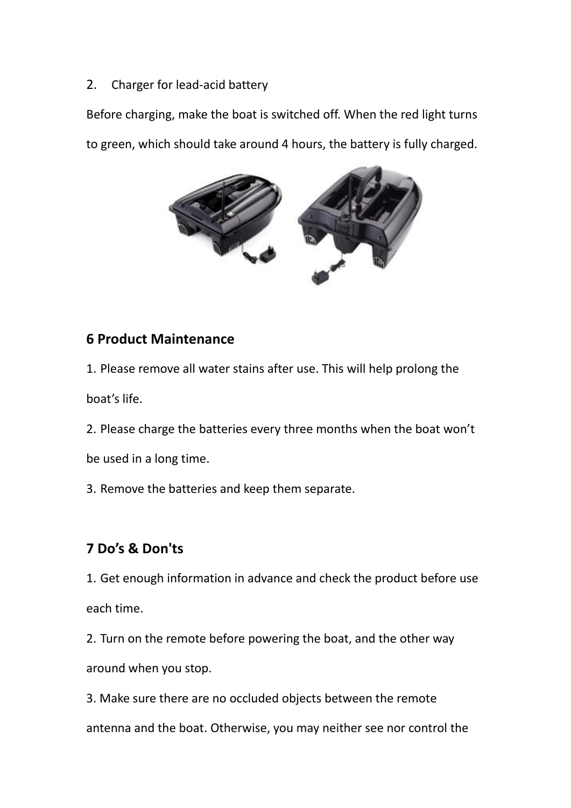2. Charger for [lead-acid](file:///C:/Documents%20and%20Settings/Administrator/Local%20Settings/Application%20Data/Youdao/Dict/Application/6.3.69.4028/resultui/frame/javascript:void(0);) battery

Before charging, make the boat is switched off. When the red light turns to green, which should take around 4 hours, the battery is fully charged.



### **6 Product Maintenance**

1. Please remove all water stains after use. This will help prolong the boat's life.

2. Please charge the batteries every three months when the boat won't

be used in a long time.

3. Remove the batteries and keep them separate.

## **7 Do's & Don'ts**

1. Get enough information in advance and check the product before use each time.

2. Turn on the remote before powering the boat, and the other way around when you stop.

3. Make sure there are no occluded objects between the remote antenna and the boat. Otherwise, you may neither see nor control the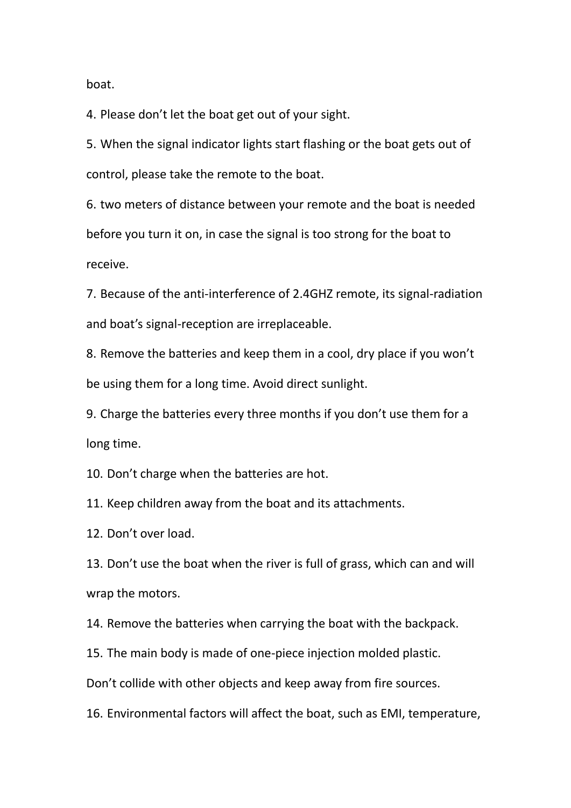boat.

4. Please don't let the boat get out of your sight.

5. When the signal indicator lights start flashing or the boat gets out of control, please take the remote to the boat.

6. two meters of distance between your remote and the boat is needed before you turn it on, in case the signal is too strong for the boat to receive.

7. Because of the anti-interference of 2.4GHZ remote, its signal-radiation and boat's signal-reception are [irreplaceable.](file:///C:/Documents%20and%20Settings/Administrator/Local%20Settings/Application%20Data/Youdao/Dict/Application/6.3.69.4028/resultui/frame/javascript:void(0);)

8. Remove the batteries and keep them in a cool, dry place if you won't be using them for a long time. Avoid direct sunlight.

9. Charge the batteries every three months if you don't use them for a long time.

10. Don't charge when the batteries are hot.

11. Keep children away from the boat and its attachments.

12. Don't over load.

13. Don't use the boat when the river is full of grass, which can and will wrap the motors.

14. Remove the batteries when carrying the boat with the backpack.

15. The main body is made of one-piece injection molded plastic.

Don't collide with other objects and keep away from fire sources.

16. Environmental factors will affect the boat, such as EMI, temperature,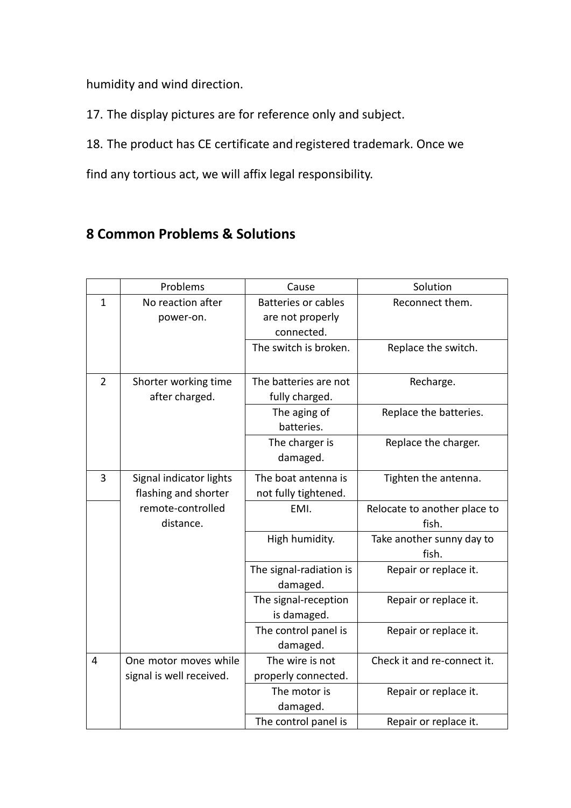humidity and wind direction.

17. The display pictures are for reference only and subject.

18. The product has CE certificate and registered trademark. Once we

find any [tortious act,](file:///C:/Documents%20and%20Settings/Administrator/Local%20Settings/Application%20Data/Youdao/Dict/Application/6.3.69.4028/resultui/frame/javascript:void(0);) we will affix legal responsibility.

### **8 Common Problems & Solutions**

|                | Problems                                        | Cause                                                        | Solution                              |  |
|----------------|-------------------------------------------------|--------------------------------------------------------------|---------------------------------------|--|
| $\mathbf{1}$   | No reaction after<br>power-on.                  | <b>Batteries or cables</b><br>are not properly<br>connected. | Reconnect them.                       |  |
|                |                                                 | The switch is broken.                                        | Replace the switch.                   |  |
| $\overline{2}$ | Shorter working time<br>after charged.          | The batteries are not<br>fully charged.                      | Recharge.                             |  |
|                |                                                 | The aging of<br>batteries.                                   | Replace the batteries.                |  |
|                |                                                 | The charger is<br>damaged.                                   | Replace the charger.                  |  |
| 3              | Signal indicator lights<br>flashing and shorter | The boat antenna is<br>not fully tightened.                  | Tighten the antenna.                  |  |
|                |                                                 |                                                              |                                       |  |
|                | remote-controlled<br>distance.                  | EMI.                                                         | Relocate to another place to<br>fish. |  |
|                |                                                 | High humidity.                                               | Take another sunny day to<br>fish.    |  |
|                |                                                 | The signal-radiation is<br>damaged.                          | Repair or replace it.                 |  |
|                |                                                 | The signal-reception<br>is damaged.                          | Repair or replace it.                 |  |
|                |                                                 | The control panel is<br>damaged.                             | Repair or replace it.                 |  |
| 4              | One motor moves while                           | The wire is not                                              | Check it and re-connect it.           |  |
|                | signal is well received.                        | properly connected.                                          |                                       |  |
|                |                                                 | The motor is<br>damaged.                                     | Repair or replace it.                 |  |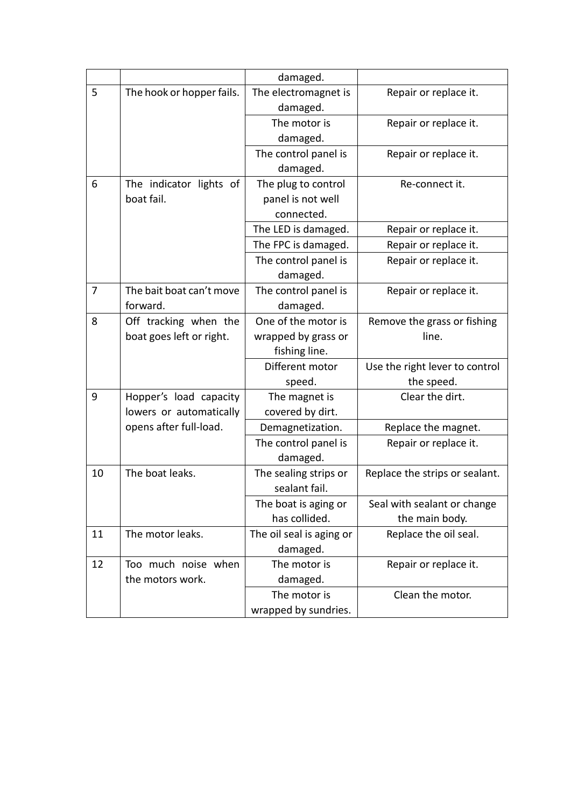|    |                           | damaged.                 |                                |  |
|----|---------------------------|--------------------------|--------------------------------|--|
| 5  | The hook or hopper fails. | The electromagnet is     | Repair or replace it.          |  |
|    |                           | damaged.                 |                                |  |
|    |                           | The motor is             | Repair or replace it.          |  |
|    |                           | damaged.                 |                                |  |
|    |                           | The control panel is     | Repair or replace it.          |  |
|    |                           | damaged.                 |                                |  |
| 6  | The indicator lights of   | The plug to control      | Re-connect it.                 |  |
|    | boat fail.                | panel is not well        |                                |  |
|    |                           | connected.               |                                |  |
|    |                           | The LED is damaged.      | Repair or replace it.          |  |
|    |                           | The FPC is damaged.      | Repair or replace it.          |  |
|    |                           | The control panel is     | Repair or replace it.          |  |
|    |                           | damaged.                 |                                |  |
| 7  | The bait boat can't move  | The control panel is     | Repair or replace it.          |  |
|    | forward.                  | damaged.                 |                                |  |
| 8  | Off tracking when the     | One of the motor is      | Remove the grass or fishing    |  |
|    | boat goes left or right.  | wrapped by grass or      | line.                          |  |
|    |                           | fishing line.            |                                |  |
|    |                           | Different motor          | Use the right lever to control |  |
|    |                           | speed.                   | the speed.                     |  |
| 9  | Hopper's load capacity    | The magnet is            | Clear the dirt.                |  |
|    | lowers or automatically   | covered by dirt.         |                                |  |
|    | opens after full-load.    | Demagnetization.         | Replace the magnet.            |  |
|    |                           | The control panel is     | Repair or replace it.          |  |
|    |                           | damaged.                 |                                |  |
| 10 | The boat leaks.           | The sealing strips or    | Replace the strips or sealant. |  |
|    |                           | sealant fail.            |                                |  |
|    |                           | The boat is aging or     | Seal with sealant or change    |  |
|    |                           | has collided.            | the main body.                 |  |
| 11 | The motor leaks.          | The oil seal is aging or | Replace the oil seal.          |  |
|    |                           | damaged.                 |                                |  |
| 12 | Too much noise when       | The motor is             | Repair or replace it.          |  |
|    | the motors work.          | damaged.                 |                                |  |
|    |                           | The motor is             | Clean the motor.               |  |
|    |                           | wrapped by sundries.     |                                |  |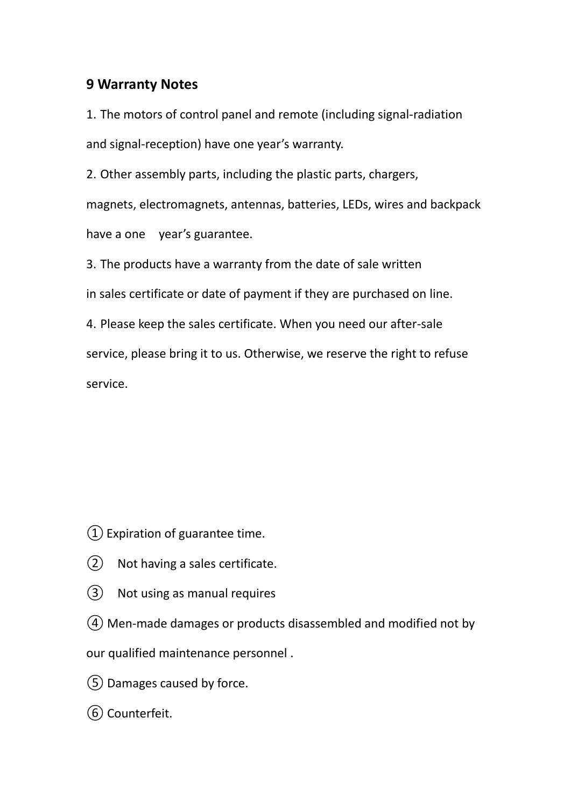#### **9 Warranty Notes**

1. The motors of control panel and remote (including signal-radiation and signal-reception) have one year's warranty.

2. Other assembly parts, including the plastic parts, chargers, magnets, electromagnets, antennas, batteries, LEDs, wires and backpack

have a one year's guarantee.

3. The products have a warranty from the date of sale written

in sales certificate or date of payment if they are purchased on line.

4. Please keep the sales certificate. When you need our after-sale service, please bring it to us. Otherwise, we reserve the right to refuse service.

 $(1)$  Expiration of guarantee time.

- ② Not having a sales certificate.
- ③ Not using as manual requires
- ④ Men-made damages or products disassembled and modified not by

our qualified maintenance personnel .

- ⑤Damages caused by force.
- ⑥ Counterfeit.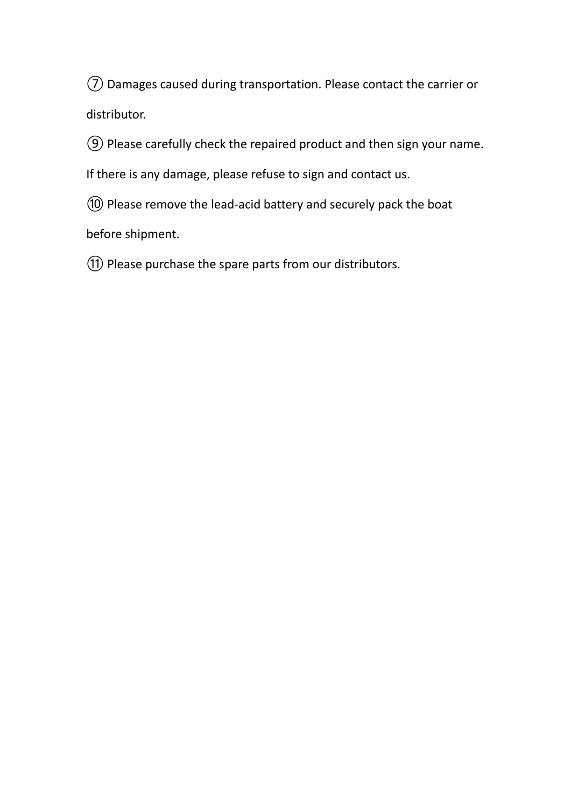⑦ Damages caused during transportation. Please contact the carrier or distributor.

⑨ Please carefully check the repaired product and then sign your name.

If there is any damage, please refuse to sign and contact us.

⑩ Please remove the lead-acid battery and securely pack the boat

before shipment.

⑪ Please purchase the spare parts from our distributors.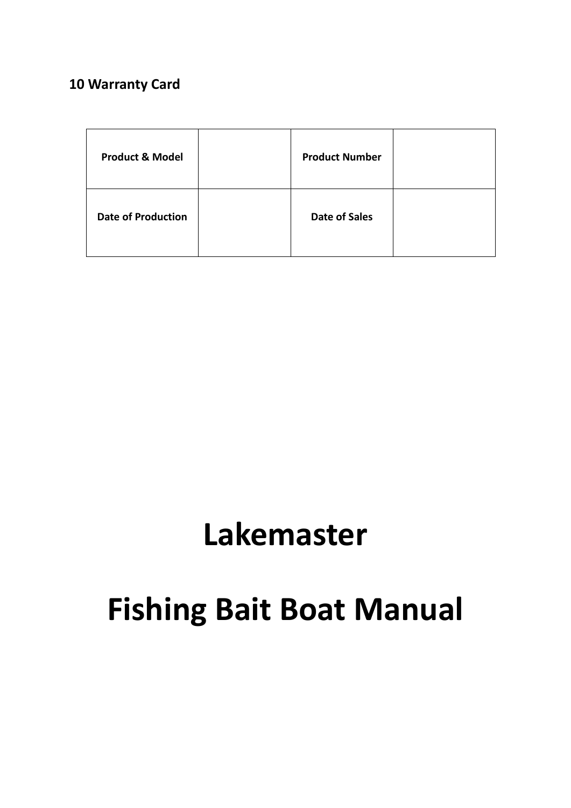# **10 Warranty Card**

| <b>Product &amp; Model</b> | <b>Product Number</b> |  |
|----------------------------|-----------------------|--|
| <b>Date of Production</b>  | <b>Date of Sales</b>  |  |

# **Lakemaster**

# **Fishing Bait Boat Manual**